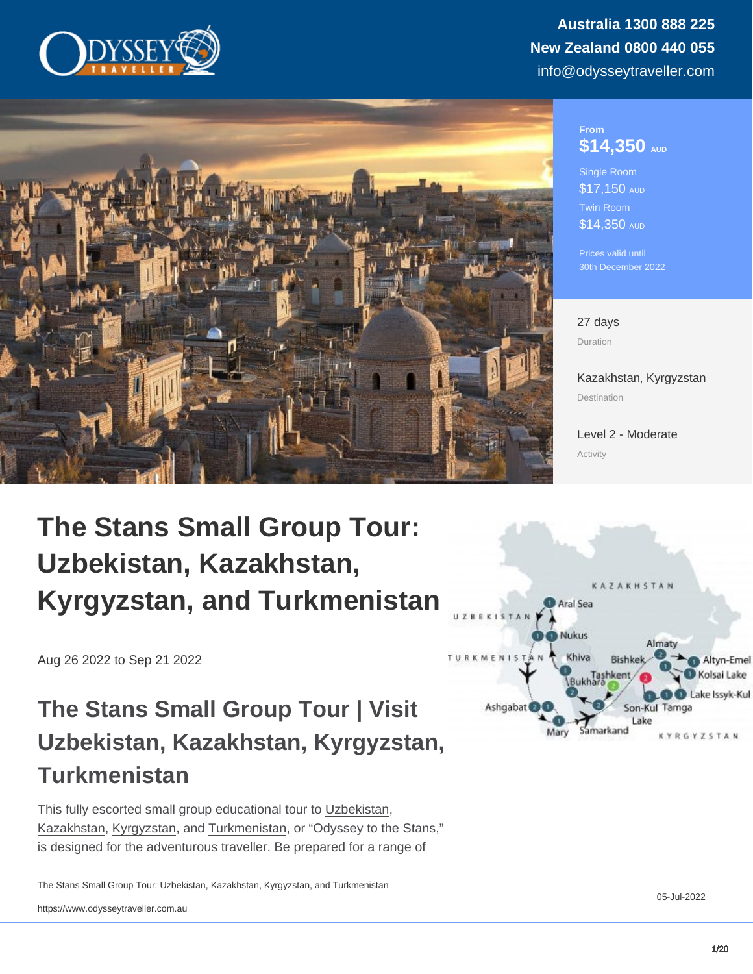#### From \$14,350 AUD

Single Room \$17,150 AUD Twin Room \$14,350 AUD

Prices valid until 30th December 2022

27 days Duration

[Kazakhstan](https://www.odysseytraveller.com/destinations/asia-and-the-orient/kazakhstan/), [Kyrgyzstan](https://www.odysseytraveller.com/destinations/asia-and-the-orient/kyrgyzstan/) Destination

[Level 2 - Moderate](/tour-category/activity-levels/) Activity

# The Stans Small Group Tour: Uzbekistan, Kazakhstan, Kyrgyzstan, and Turkmenistan

Aug 26 2022 to Sep 21 2022

The Stans Small Group Tour | Visit Uzbekistan, Kazakhstan, Kyrgyzstan, **Turkmenistan** 

This fully escorted small group educational tour to [Uzbekistan,](https://www.odysseytraveller.com/articles/explore-uzbekistan/) [Kazakhstan](https://www.odysseytraveller.com/articles/questions-about-kazakhstan/), [Kyrgyzstan](https://www.odysseytraveller.com/articles/questions-about-kyrgyzstan/), and [Turkmenistan](https://www.odysseytraveller.com/articles/turkmenistan-article-travellers/), or "Odyssey to the Stans," is designed for the adventurous traveller. Be prepared for a range of

The Stans Small Group Tour: Uzbekistan, Kazakhstan, Kyrgyzstan, and Turkmenistan

05-Jul-2022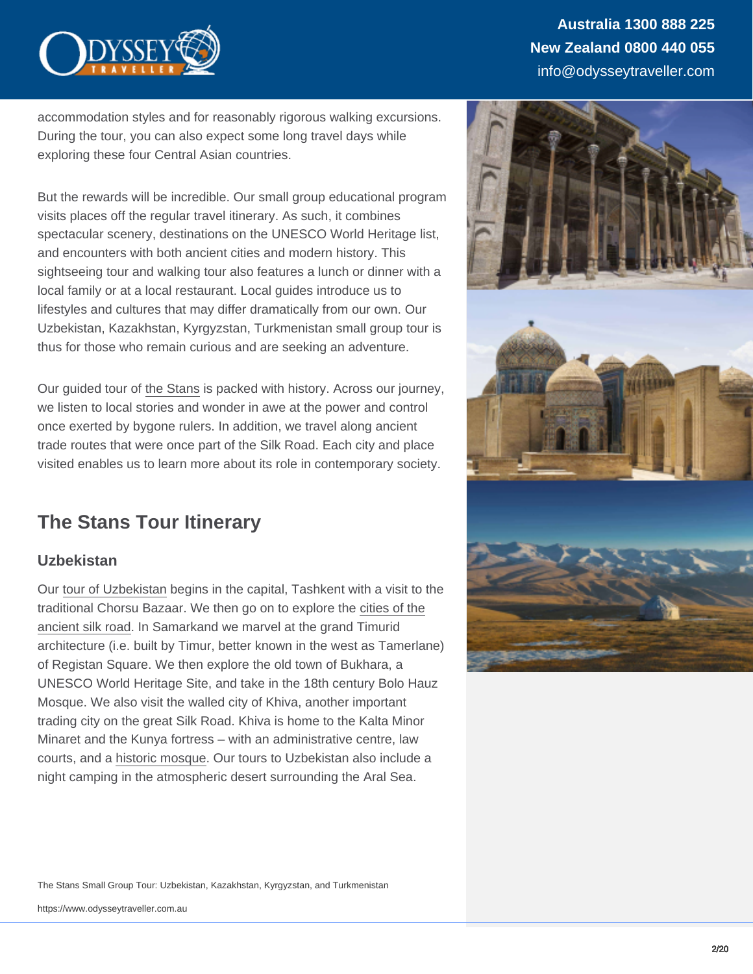accommodation styles and for reasonably rigorous walking excursions. During the tour, you can also expect some long travel days while exploring these four Central Asian countries.

But the rewards will be incredible. Our small group educational program visits places off the regular travel itinerary. As such, it combines spectacular scenery, destinations on the UNESCO World Heritage list, and encounters with both ancient cities and modern history. This sightseeing tour and walking tour also features a lunch or dinner with a local family or at a local restaurant. Local guides introduce us to lifestyles and cultures that may differ dramatically from our own. Our Uzbekistan, Kazakhstan, Kyrgyzstan, Turkmenistan small group tour is thus for those who remain curious and are seeking an adventure.

Our guided tour of [the Stans](https://www.travelweekly.com/Asia-Travel/Exploring-the-Stans) is packed with history. Across our journey, we listen to local stories and wonder in awe at the power and control once exerted by bygone rulers. In addition, we travel along ancient trade routes that were once part of the Silk Road. Each city and place visited enables us to learn more about its role in contemporary society.

## The Stans Tour Itinerary

## Uzbekistan

Our [tour of Uzbekistan](https://www.odysseytraveller.com/articles/travelling-uzbekistan/) begins in the capital, Tashkent with a visit to the traditional Chorsu Bazaar. We then go on to explore the [cities of the](https://www.odysseytraveller.com/articles/history-and-legacy-of-the-silk-road/) [ancient silk road](https://www.odysseytraveller.com/articles/history-and-legacy-of-the-silk-road/). In Samarkand we marvel at the grand Timurid architecture (i.e. built by Timur, better known in the west as Tamerlane) of Registan Square. We then explore the old town of Bukhara, a UNESCO World Heritage Site, and take in the 18th century Bolo Hauz Mosque. We also visit the walled city of Khiva, another important trading city on the great Silk Road. Khiva is home to the Kalta Minor Minaret and the Kunya fortress – with an administrative centre, law courts, and a [historic mosque.](https://www.odysseytraveller.com/articles/elements-of-mosque-architecture/) Our tours to Uzbekistan also include a night camping in the atmospheric desert surrounding the Aral Sea.

The Stans Small Group Tour: Uzbekistan, Kazakhstan, Kyrgyzstan, and Turkmenistan

https://www.odysseytraveller.com.au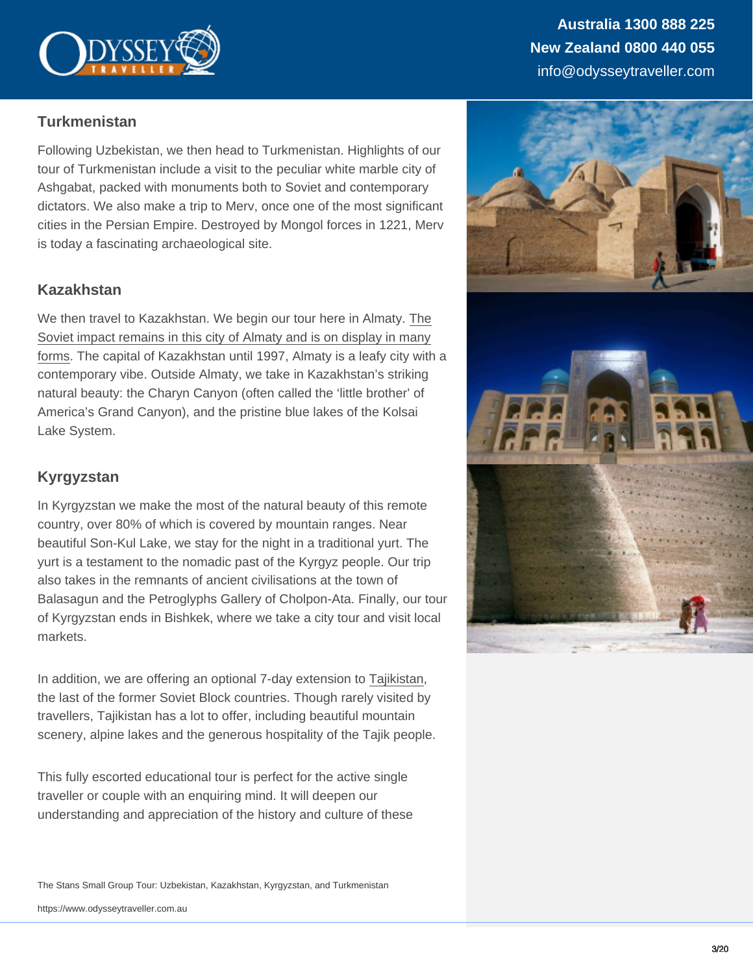## **Turkmenistan**

Following Uzbekistan, we then head to Turkmenistan. Highlights of our tour of Turkmenistan include a visit to the peculiar white marble city of Ashgabat, packed with monuments both to Soviet and contemporary dictators. We also make a trip to Merv, once one of the most significant cities in the Persian Empire. Destroyed by Mongol forces in 1221, Merv is today a fascinating archaeological site.

## Kazakhstan

We then travel to Kazakhstan. We begin our tour here in Almaty. [The](https://www.odysseytraveller.com/articles/soviet-art-in-kazakhstan/) [Soviet impact remains in this city of Almaty and is on display in many](https://www.odysseytraveller.com/articles/soviet-art-in-kazakhstan/) [forms.](https://www.odysseytraveller.com/articles/soviet-art-in-kazakhstan/) The capital of Kazakhstan until 1997, Almaty is a leafy city with a contemporary vibe. Outside Almaty, we take in Kazakhstan's striking natural beauty: the Charyn Canyon (often called the 'little brother' of America's Grand Canyon), and the pristine blue lakes of the Kolsai Lake System.

## Kyrgyzstan

In Kyrgyzstan we make the most of the natural beauty of this remote country, over 80% of which is covered by mountain ranges. Near beautiful Son-Kul Lake, we stay for the night in a traditional yurt. The yurt is a testament to the nomadic past of the Kyrgyz people. Our trip also takes in the remnants of ancient civilisations at the town of Balasagun and the Petroglyphs Gallery of Cholpon-Ata. Finally, our tour of Kyrgyzstan ends in Bishkek, where we take a city tour and visit local markets.

In addition, we are offering an optional 7-day extension to [Tajikistan,](https://www.odysseytraveller.com/tours-small-groups/tajikistan-seniors-small-group-tour/) the last of the former Soviet Block countries. Though rarely visited by travellers, Tajikistan has a lot to offer, including beautiful mountain scenery, alpine lakes and the generous hospitality of the Tajik people.

This fully escorted educational tour is perfect for the active single traveller or couple with an enquiring mind. It will deepen our understanding and appreciation of the history and culture of these

The Stans Small Group Tour: Uzbekistan, Kazakhstan, Kyrgyzstan, and Turkmenistan

https://www.odysseytraveller.com.au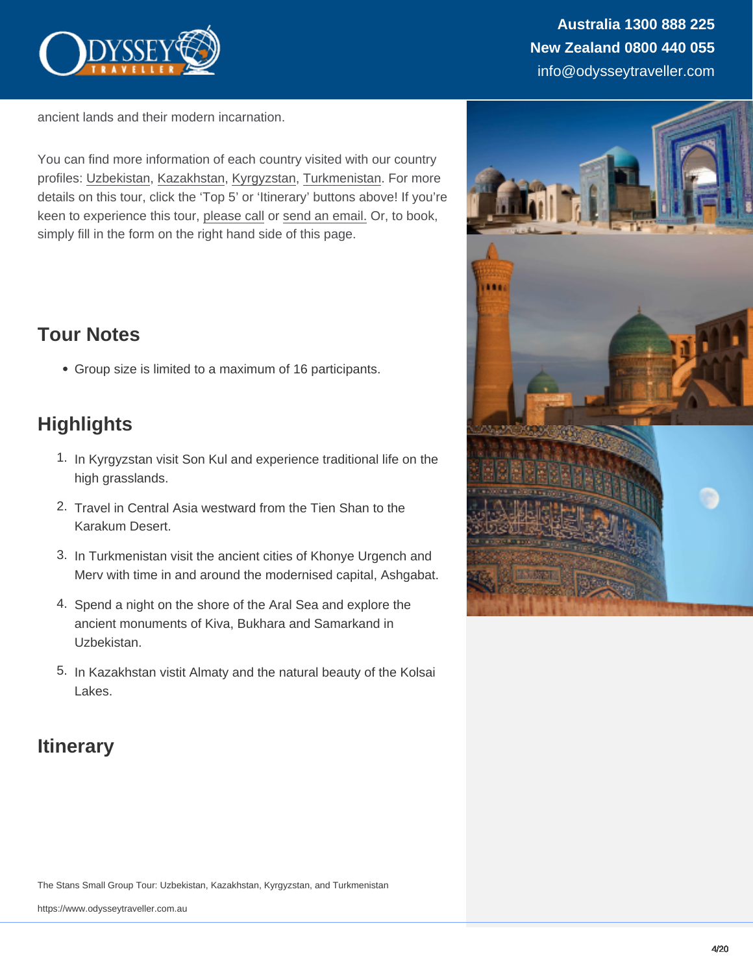ancient lands and their modern incarnation.

You can find more information of each country visited with our country profiles: [Uzbekistan](https://www.odysseytraveller.com/destinations/asia-and-the-orient/uzbekistan/), [Kazakhstan,](https://www.odysseytraveller.com/destinations/asia-and-the-orient/kazakhstan/) [Kyrgyzstan,](https://www.odysseytraveller.com/destinations/asia-and-the-orient/kyrgyzstan/) [Turkmenistan](https://www.odysseytraveller.com/destinations/asia-and-the-orient/turkmenistan/). For more details on this tour, click the 'Top 5' or 'Itinerary' buttons above! If you're keen to experience this tour, [please call](https://www.odysseytraveller.com/contact-us/) or [send an email.](mailto:info@odysseytravel.com.au) Or, to book, simply fill in the form on the right hand side of this page.

## Tour Notes

Group size is limited to a maximum of 16 participants.

## **Highlights**

- 1. In Kyrgyzstan visit Son Kul and experience traditional life on the high grasslands.
- 2. Travel in Central Asia westward from the Tien Shan to the Karakum Desert.
- 3. In Turkmenistan visit the ancient cities of Khonye Urgench and Merv with time in and around the modernised capital, Ashgabat.
- 4. Spend a night on the shore of the Aral Sea and explore the ancient monuments of Kiva, Bukhara and Samarkand in Uzbekistan.
- 5. In Kazakhstan vistit Almaty and the natural beauty of the Kolsai Lakes.

## **Itinerary**

The Stans Small Group Tour: Uzbekistan, Kazakhstan, Kyrgyzstan, and Turkmenistan

https://www.odysseytraveller.com.au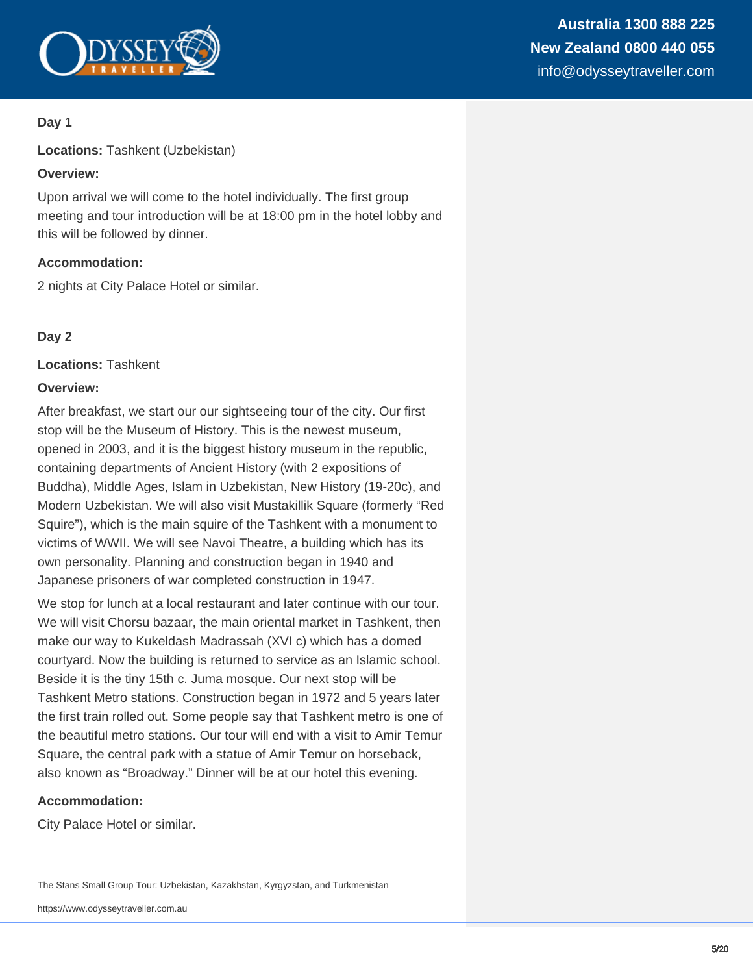

**Locations:** Tashkent (Uzbekistan)

## **Overview:**

Upon arrival we will come to the hotel individually. The first group meeting and tour introduction will be at 18:00 pm in the hotel lobby and this will be followed by dinner.

## **Accommodation:**

2 nights at City Palace Hotel or similar.

## **Day 2**

**Locations:** Tashkent

## **Overview:**

After breakfast, we start our our sightseeing tour of the city. Our first stop will be the Museum of History. This is the newest museum, opened in 2003, and it is the biggest history museum in the republic, containing departments of Ancient History (with 2 expositions of Buddha), Middle Ages, Islam in Uzbekistan, New History (19-20c), and Modern Uzbekistan. We will also visit Mustakillik Square (formerly "Red Squire"), which is the main squire of the Tashkent with a monument to victims of WWII. We will see Navoi Theatre, a building which has its own personality. Planning and construction began in 1940 and Japanese prisoners of war completed construction in 1947.

We stop for lunch at a local restaurant and later continue with our tour. We will visit Chorsu bazaar, the main oriental market in Tashkent, then make our way to Kukeldash Madrassah (XVI c) which has a domed courtyard. Now the building is returned to service as an Islamic school. Beside it is the tiny 15th c. Juma mosque. Our next stop will be Tashkent Metro stations. Construction began in 1972 and 5 years later the first train rolled out. Some people say that Tashkent metro is one of the beautiful metro stations. Our tour will end with a visit to Amir Temur Square, the central park with a statue of Amir Temur on horseback, also known as "Broadway." Dinner will be at our hotel this evening.

## **Accommodation:**

City Palace Hotel or similar.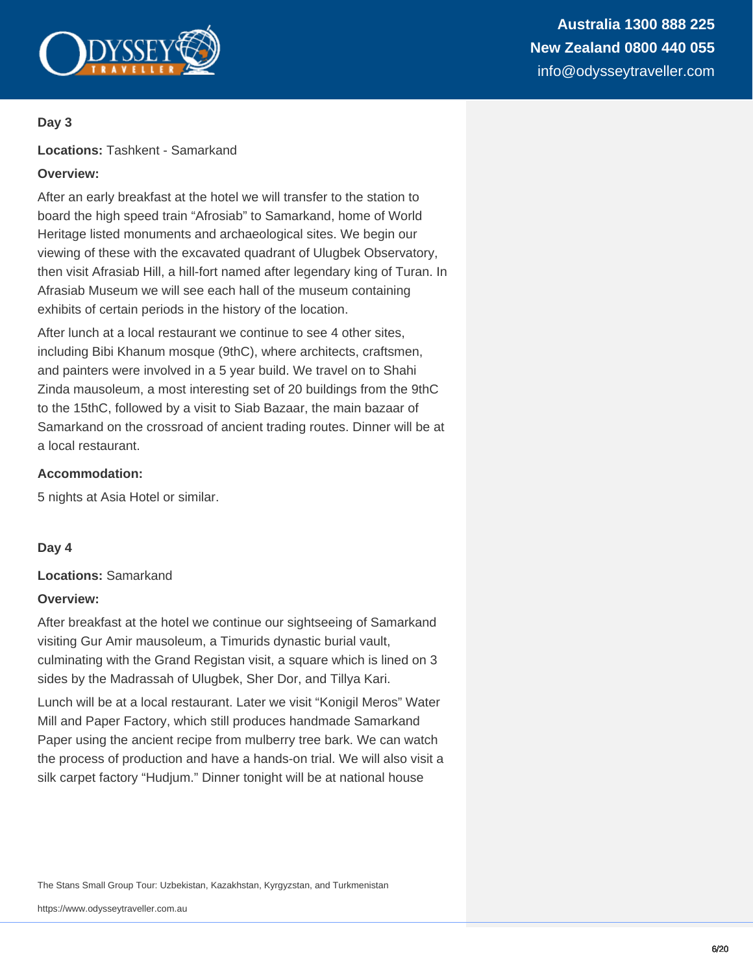

**Locations:** Tashkent - Samarkand

## **Overview:**

After an early breakfast at the hotel we will transfer to the station to board the high speed train "Afrosiab" to Samarkand, home of World Heritage listed monuments and archaeological sites. We begin our viewing of these with the excavated quadrant of Ulugbek Observatory, then visit Afrasiab Hill, a hill-fort named after legendary king of Turan. In Afrasiab Museum we will see each hall of the museum containing exhibits of certain periods in the history of the location.

After lunch at a local restaurant we continue to see 4 other sites, including Bibi Khanum mosque (9thC), where architects, craftsmen, and painters were involved in a 5 year build. We travel on to Shahi Zinda mausoleum, a most interesting set of 20 buildings from the 9thC to the 15thC, followed by a visit to Siab Bazaar, the main bazaar of Samarkand on the crossroad of ancient trading routes. Dinner will be at a local restaurant.

## **Accommodation:**

5 nights at Asia Hotel or similar.

## **Day 4**

## **Locations:** Samarkand

## **Overview:**

After breakfast at the hotel we continue our sightseeing of Samarkand visiting Gur Amir mausoleum, a Timurids dynastic burial vault, culminating with the Grand Registan visit, a square which is lined on 3 sides by the Madrassah of Ulugbek, Sher Dor, and Tillya Kari.

Lunch will be at a local restaurant. Later we visit "Konigil Meros" Water Mill and Paper Factory, which still produces handmade Samarkand Paper using the ancient recipe from mulberry tree bark. We can watch the process of production and have a hands-on trial. We will also visit a silk carpet factory "Hudjum." Dinner tonight will be at national house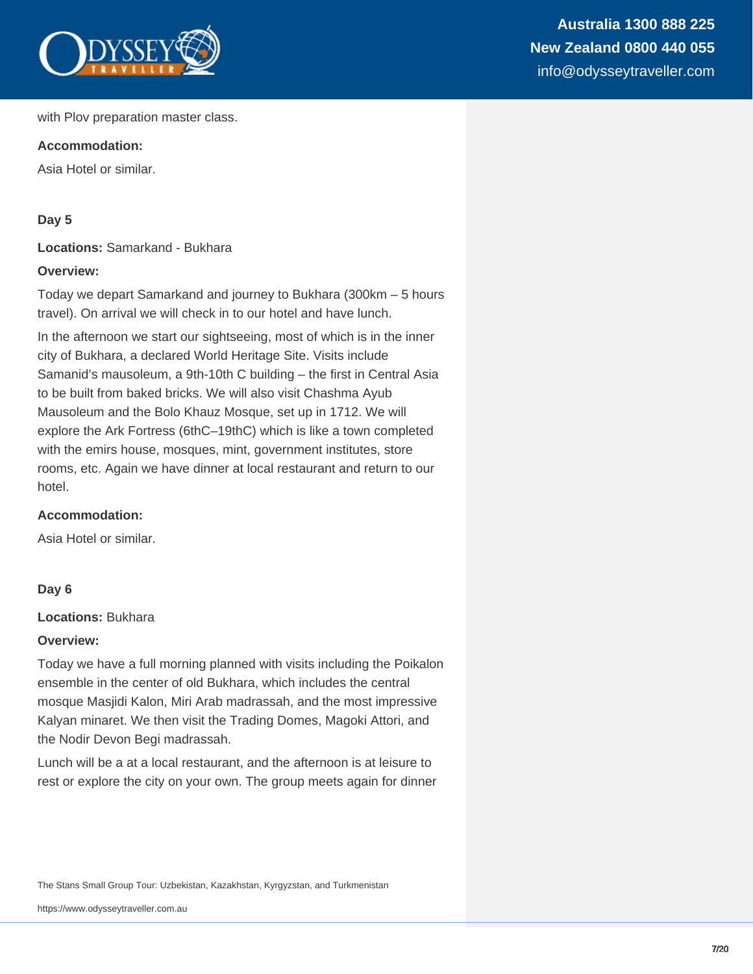

## with Plov preparation master class.

## **Accommodation:**

Asia Hotel or similar.

## **Day 5**

**Locations:** Samarkand - Bukhara

## **Overview:**

Today we depart Samarkand and journey to Bukhara (300km – 5 hours travel). On arrival we will check in to our hotel and have lunch.

In the afternoon we start our sightseeing, most of which is in the inner city of Bukhara, a declared World Heritage Site. Visits include Samanid's mausoleum, a 9th-10th C building – the first in Central Asia to be built from baked bricks. We will also visit Chashma Ayub Mausoleum and the Bolo Khauz Mosque, set up in 1712. We will explore the Ark Fortress (6thC–19thC) which is like a town completed with the emirs house, mosques, mint, government institutes, store rooms, etc. Again we have dinner at local restaurant and return to our hotel.

## **Accommodation:**

Asia Hotel or similar.

## **Day 6**

## **Locations:** Bukhara

## **Overview:**

Today we have a full morning planned with visits including the Poikalon ensemble in the center of old Bukhara, which includes the central mosque Masjidi Kalon, Miri Arab madrassah, and the most impressive Kalyan minaret. We then visit the Trading Domes, Magoki Attori, and the Nodir Devon Begi madrassah.

Lunch will be a at a local restaurant, and the afternoon is at leisure to rest or explore the city on your own. The group meets again for dinner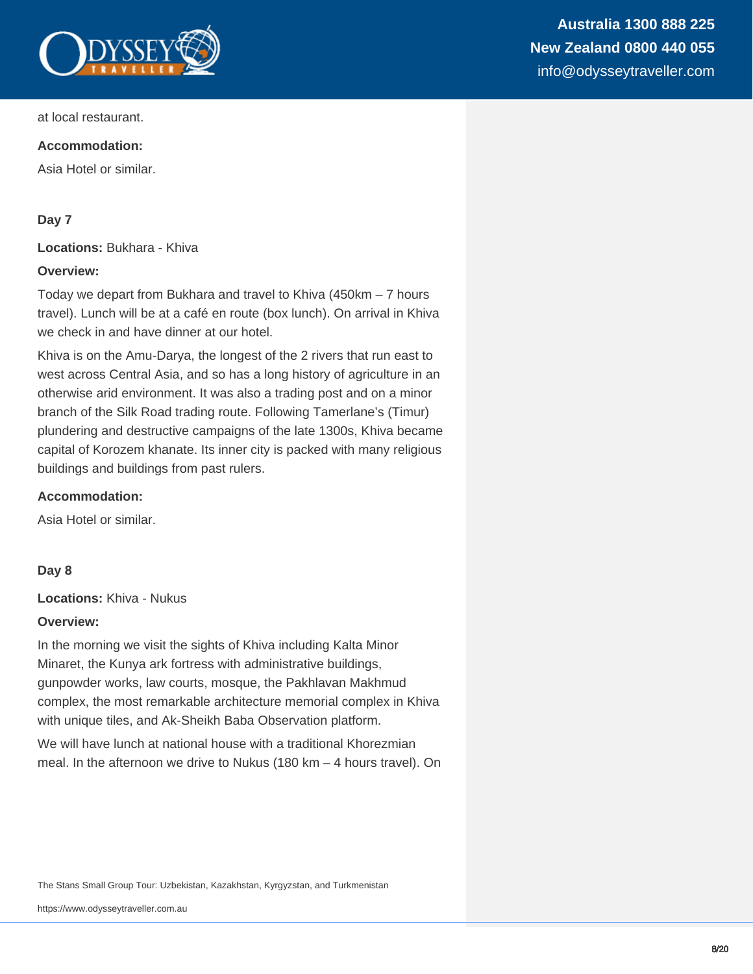

at local restaurant.

## **Accommodation:**

Asia Hotel or similar.

## **Day 7**

**Locations:** Bukhara - Khiva

## **Overview:**

Today we depart from Bukhara and travel to Khiva (450km – 7 hours travel). Lunch will be at a café en route (box lunch). On arrival in Khiva we check in and have dinner at our hotel.

Khiva is on the Amu-Darya, the longest of the 2 rivers that run east to west across Central Asia, and so has a long history of agriculture in an otherwise arid environment. It was also a trading post and on a minor branch of the Silk Road trading route. Following Tamerlane's (Timur) plundering and destructive campaigns of the late 1300s, Khiva became capital of Korozem khanate. Its inner city is packed with many religious buildings and buildings from past rulers.

## **Accommodation:**

Asia Hotel or similar.

## **Day 8**

**Locations:** Khiva - Nukus

#### **Overview:**

In the morning we visit the sights of Khiva including Kalta Minor Minaret, the Kunya ark fortress with administrative buildings, gunpowder works, law courts, mosque, the Pakhlavan Makhmud complex, the most remarkable architecture memorial complex in Khiva with unique tiles, and Ak-Sheikh Baba Observation platform.

We will have lunch at national house with a traditional Khorezmian meal. In the afternoon we drive to Nukus (180 km – 4 hours travel). On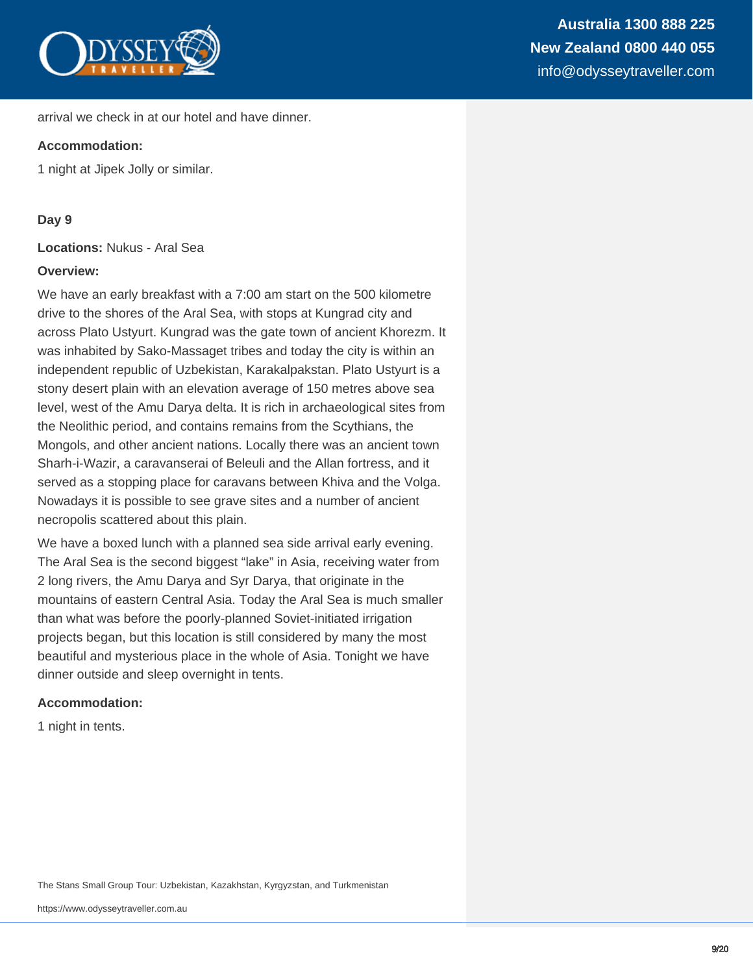

arrival we check in at our hotel and have dinner.

#### **Accommodation:**

1 night at Jipek Jolly or similar.

#### **Day 9**

**Locations:** Nukus - Aral Sea

#### **Overview:**

We have an early breakfast with a 7:00 am start on the 500 kilometre drive to the shores of the Aral Sea, with stops at Kungrad city and across Plato Ustyurt. Kungrad was the gate town of ancient Khorezm. It was inhabited by Sako-Massaget tribes and today the city is within an independent republic of Uzbekistan, Karakalpakstan. Plato Ustyurt is a stony desert plain with an elevation average of 150 metres above sea level, west of the Amu Darya delta. It is rich in archaeological sites from the Neolithic period, and contains remains from the Scythians, the Mongols, and other ancient nations. Locally there was an ancient town Sharh-i-Wazir, a caravanserai of Beleuli and the Allan fortress, and it served as a stopping place for caravans between Khiva and the Volga. Nowadays it is possible to see grave sites and a number of ancient necropolis scattered about this plain.

We have a boxed lunch with a planned sea side arrival early evening. The Aral Sea is the second biggest "lake" in Asia, receiving water from 2 long rivers, the Amu Darya and Syr Darya, that originate in the mountains of eastern Central Asia. Today the Aral Sea is much smaller than what was before the poorly-planned Soviet-initiated irrigation projects began, but this location is still considered by many the most beautiful and mysterious place in the whole of Asia. Tonight we have dinner outside and sleep overnight in tents.

## **Accommodation:**

1 night in tents.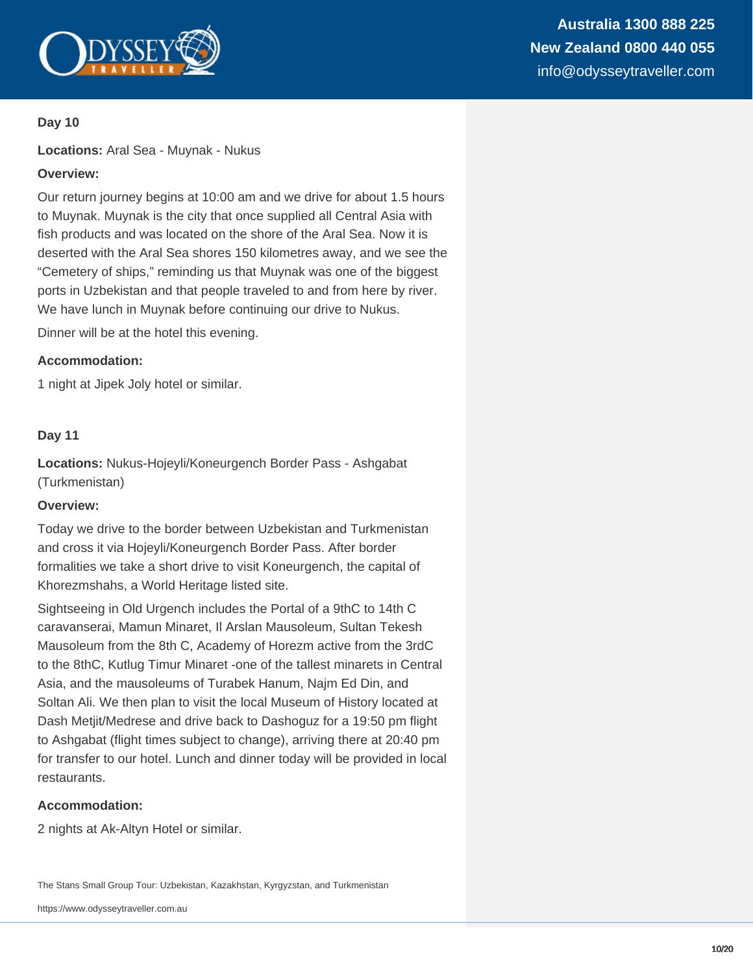

**Locations:** Aral Sea - Muynak - Nukus

## **Overview:**

Our return journey begins at 10:00 am and we drive for about 1.5 hours to Muynak. Muynak is the city that once supplied all Central Asia with fish products and was located on the shore of the Aral Sea. Now it is deserted with the Aral Sea shores 150 kilometres away, and we see the "Cemetery of ships," reminding us that Muynak was one of the biggest ports in Uzbekistan and that people traveled to and from here by river. We have lunch in Muynak before continuing our drive to Nukus.

Dinner will be at the hotel this evening.

## **Accommodation:**

1 night at Jipek Joly hotel or similar.

## **Day 11**

**Locations:** Nukus-Hojeyli/Koneurgench Border Pass - Ashgabat (Turkmenistan)

## **Overview:**

Today we drive to the border between Uzbekistan and Turkmenistan and cross it via Hojeyli/Koneurgench Border Pass. After border formalities we take a short drive to visit Koneurgench, the capital of Khorezmshahs, a World Heritage listed site.

Sightseeing in Old Urgench includes the Portal of a 9thC to 14th C caravanserai, Mamun Minaret, Il Arslan Mausoleum, Sultan Tekesh Mausoleum from the 8th C, Academy of Horezm active from the 3rdC to the 8thC, Kutlug Timur Minaret -one of the tallest minarets in Central Asia, and the mausoleums of Turabek Hanum, Najm Ed Din, and Soltan Ali. We then plan to visit the local Museum of History located at Dash Metjit/Medrese and drive back to Dashoguz for a 19:50 pm flight to Ashgabat (flight times subject to change), arriving there at 20:40 pm for transfer to our hotel. Lunch and dinner today will be provided in local restaurants.

## **Accommodation:**

2 nights at Ak-Altyn Hotel or similar.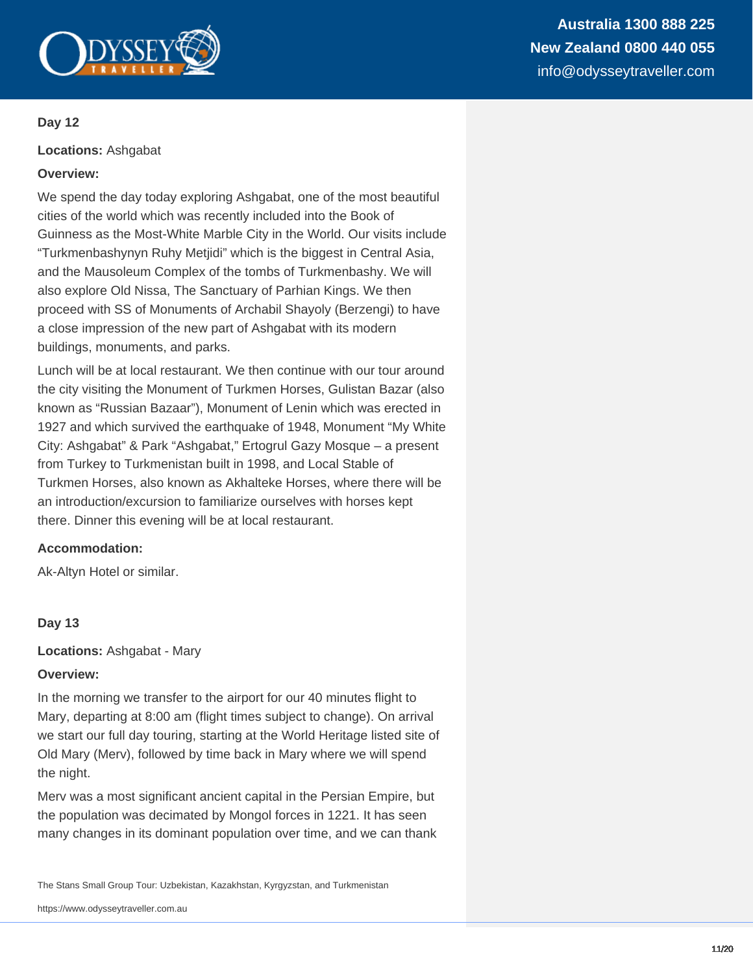

**Locations:** Ashgabat

## **Overview:**

We spend the day today exploring Ashgabat, one of the most beautiful cities of the world which was recently included into the Book of Guinness as the Most-White Marble City in the World. Our visits include "Turkmenbashynyn Ruhy Metjidi" which is the biggest in Central Asia, and the Mausoleum Complex of the tombs of Turkmenbashy. We will also explore Old Nissa, The Sanctuary of Parhian Kings. We then proceed with SS of Monuments of Archabil Shayoly (Berzengi) to have a close impression of the new part of Ashgabat with its modern buildings, monuments, and parks.

Lunch will be at local restaurant. We then continue with our tour around the city visiting the Monument of Turkmen Horses, Gulistan Bazar (also known as "Russian Bazaar"), Monument of Lenin which was erected in 1927 and which survived the earthquake of 1948, Monument "My White City: Ashgabat" & Park "Ashgabat," Ertogrul Gazy Mosque – a present from Turkey to Turkmenistan built in 1998, and Local Stable of Turkmen Horses, also known as Akhalteke Horses, where there will be an introduction/excursion to familiarize ourselves with horses kept there. Dinner this evening will be at local restaurant.

## **Accommodation:**

Ak-Altyn Hotel or similar.

## **Day 13**

**Locations:** Ashgabat - Mary

## **Overview:**

In the morning we transfer to the airport for our 40 minutes flight to Mary, departing at 8:00 am (flight times subject to change). On arrival we start our full day touring, starting at the World Heritage listed site of Old Mary (Merv), followed by time back in Mary where we will spend the night.

Merv was a most significant ancient capital in the Persian Empire, but the population was decimated by Mongol forces in 1221. It has seen many changes in its dominant population over time, and we can thank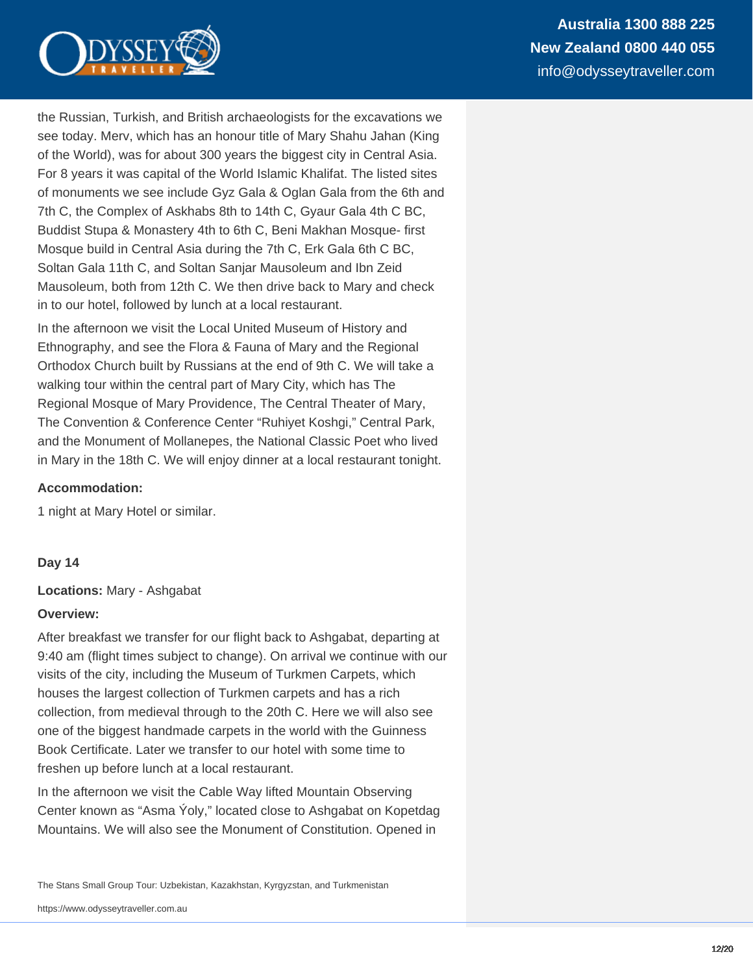

the Russian, Turkish, and British archaeologists for the excavations we see today. Merv, which has an honour title of Mary Shahu Jahan (King of the World), was for about 300 years the biggest city in Central Asia. For 8 years it was capital of the World Islamic Khalifat. The listed sites of monuments we see include Gyz Gala & Oglan Gala from the 6th and 7th C, the Complex of Askhabs 8th to 14th C, Gyaur Gala 4th C BC, Buddist Stupa & Monastery 4th to 6th C, Beni Makhan Mosque- first Mosque build in Central Asia during the 7th C, Erk Gala 6th C BC, Soltan Gala 11th C, and Soltan Sanjar Mausoleum and Ibn Zeid Mausoleum, both from 12th C. We then drive back to Mary and check in to our hotel, followed by lunch at a local restaurant.

In the afternoon we visit the Local United Museum of History and Ethnography, and see the Flora & Fauna of Mary and the Regional Orthodox Church built by Russians at the end of 9th C. We will take a walking tour within the central part of Mary City, which has The Regional Mosque of Mary Providence, The Central Theater of Mary, The Convention & Conference Center "Ruhiyet Koshgi," Central Park, and the Monument of Mollanepes, the National Classic Poet who lived in Mary in the 18th C. We will enjoy dinner at a local restaurant tonight.

#### **Accommodation:**

1 night at Mary Hotel or similar.

#### **Day 14**

#### **Locations:** Mary - Ashgabat

#### **Overview:**

After breakfast we transfer for our flight back to Ashgabat, departing at 9:40 am (flight times subject to change). On arrival we continue with our visits of the city, including the Museum of Turkmen Carpets, which houses the largest collection of Turkmen carpets and has a rich collection, from medieval through to the 20th C. Here we will also see one of the biggest handmade carpets in the world with the Guinness Book Certificate. Later we transfer to our hotel with some time to freshen up before lunch at a local restaurant.

In the afternoon we visit the Cable Way lifted Mountain Observing Center known as "Asma Ýoly," located close to Ashgabat on Kopetdag Mountains. We will also see the Monument of Constitution. Opened in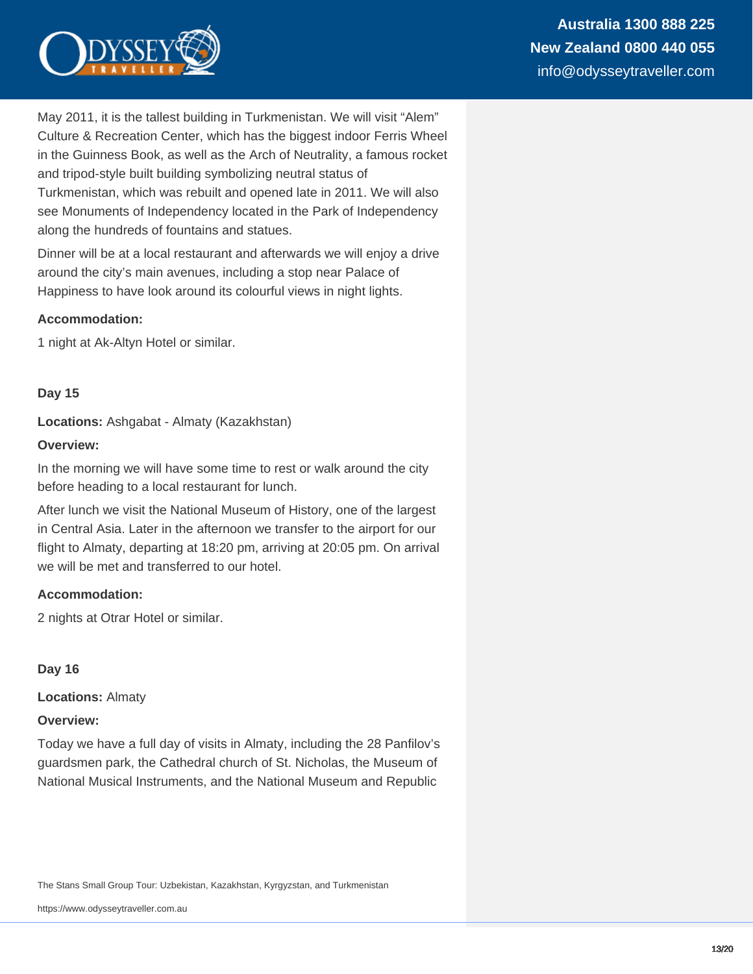

May 2011, it is the tallest building in Turkmenistan. We will visit "Alem" Culture & Recreation Center, which has the biggest indoor Ferris Wheel in the Guinness Book, as well as the Arch of Neutrality, a famous rocket and tripod-style built building symbolizing neutral status of Turkmenistan, which was rebuilt and opened late in 2011. We will also see Monuments of Independency located in the Park of Independency along the hundreds of fountains and statues.

Dinner will be at a local restaurant and afterwards we will enjoy a drive around the city's main avenues, including a stop near Palace of Happiness to have look around its colourful views in night lights.

#### **Accommodation:**

1 night at Ak-Altyn Hotel or similar.

#### **Day 15**

**Locations:** Ashgabat - Almaty (Kazakhstan)

#### **Overview:**

In the morning we will have some time to rest or walk around the city before heading to a local restaurant for lunch.

After lunch we visit the National Museum of History, one of the largest in Central Asia. Later in the afternoon we transfer to the airport for our flight to Almaty, departing at 18:20 pm, arriving at 20:05 pm. On arrival we will be met and transferred to our hotel

#### **Accommodation:**

2 nights at Otrar Hotel or similar.

#### **Day 16**

**Locations:** Almaty

#### **Overview:**

Today we have a full day of visits in Almaty, including the 28 Panfilov's guardsmen park, the Cathedral church of St. Nicholas, the Museum of National Musical Instruments, and the National Museum and Republic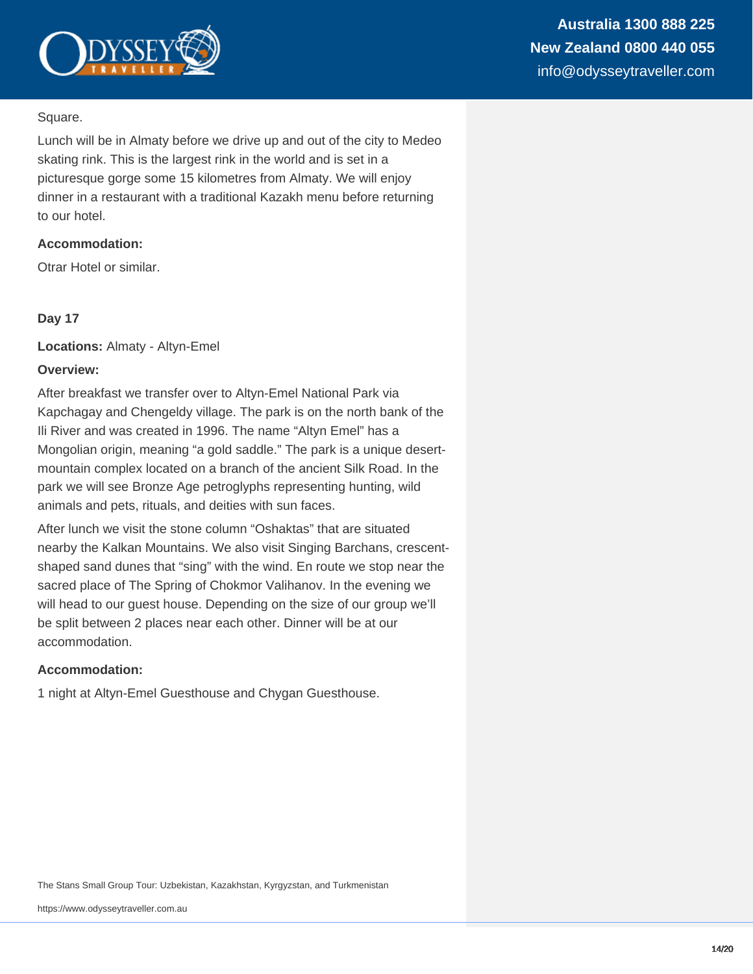

## Square.

Lunch will be in Almaty before we drive up and out of the city to Medeo skating rink. This is the largest rink in the world and is set in a picturesque gorge some 15 kilometres from Almaty. We will enjoy dinner in a restaurant with a traditional Kazakh menu before returning to our hotel.

## **Accommodation:**

Otrar Hotel or similar.

## **Day 17**

**Locations:** Almaty - Altyn-Emel

#### **Overview:**

After breakfast we transfer over to Altyn-Emel National Park via Kapchagay and Chengeldy village. The park is on the north bank of the Ili River and was created in 1996. The name "Altyn Emel" has a Mongolian origin, meaning "a gold saddle." The park is a unique desertmountain complex located on a branch of the ancient Silk Road. In the park we will see Bronze Age petroglyphs representing hunting, wild animals and pets, rituals, and deities with sun faces.

After lunch we visit the stone column "Oshaktas" that are situated nearby the Kalkan Mountains. We also visit Singing Barchans, crescentshaped sand dunes that "sing" with the wind. En route we stop near the sacred place of The Spring of Chokmor Valihanov. In the evening we will head to our guest house. Depending on the size of our group we'll be split between 2 places near each other. Dinner will be at our accommodation.

## **Accommodation:**

1 night at Altyn-Emel Guesthouse and Chygan Guesthouse.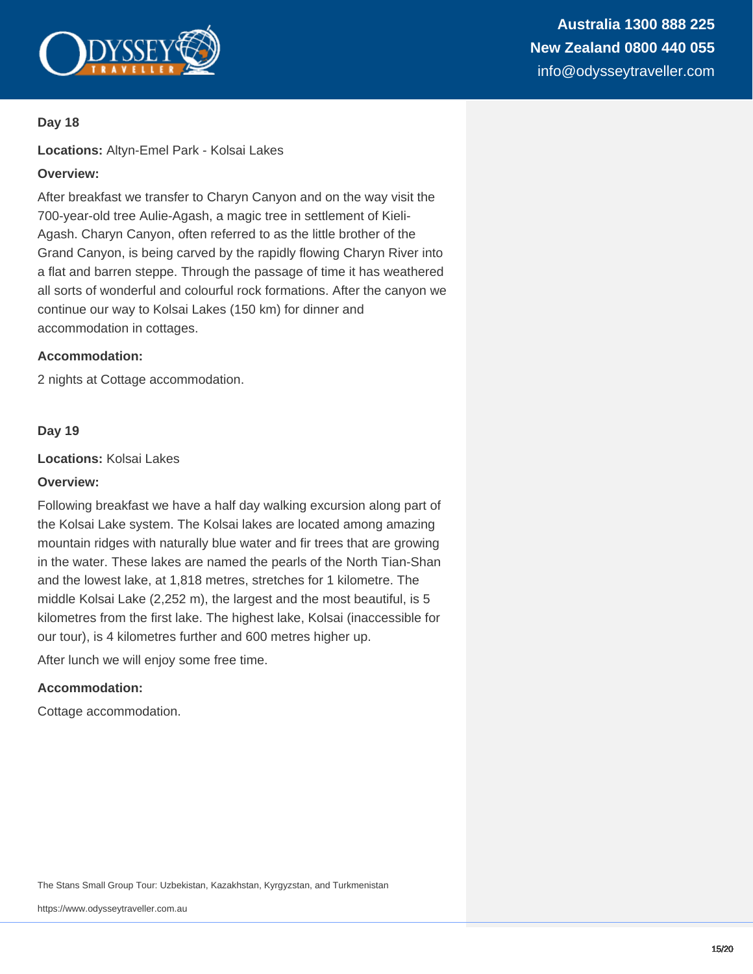

**Locations:** Altyn-Emel Park - Kolsai Lakes

## **Overview:**

After breakfast we transfer to Charyn Canyon and on the way visit the 700-year-old tree Aulie-Agash, a magic tree in settlement of Kieli-Agash. Charyn Canyon, often referred to as the little brother of the Grand Canyon, is being carved by the rapidly flowing Charyn River into a flat and barren steppe. Through the passage of time it has weathered all sorts of wonderful and colourful rock formations. After the canyon we continue our way to Kolsai Lakes (150 km) for dinner and accommodation in cottages.

## **Accommodation:**

2 nights at Cottage accommodation.

## **Day 19**

**Locations:** Kolsai Lakes

#### **Overview:**

Following breakfast we have a half day walking excursion along part of the Kolsai Lake system. The Kolsai lakes are located among amazing mountain ridges with naturally blue water and fir trees that are growing in the water. These lakes are named the pearls of the North Tian-Shan and the lowest lake, at 1,818 metres, stretches for 1 kilometre. The middle Kolsai Lake (2,252 m), the largest and the most beautiful, is 5 kilometres from the first lake. The highest lake, Kolsai (inaccessible for our tour), is 4 kilometres further and 600 metres higher up.

After lunch we will enjoy some free time.

#### **Accommodation:**

Cottage accommodation.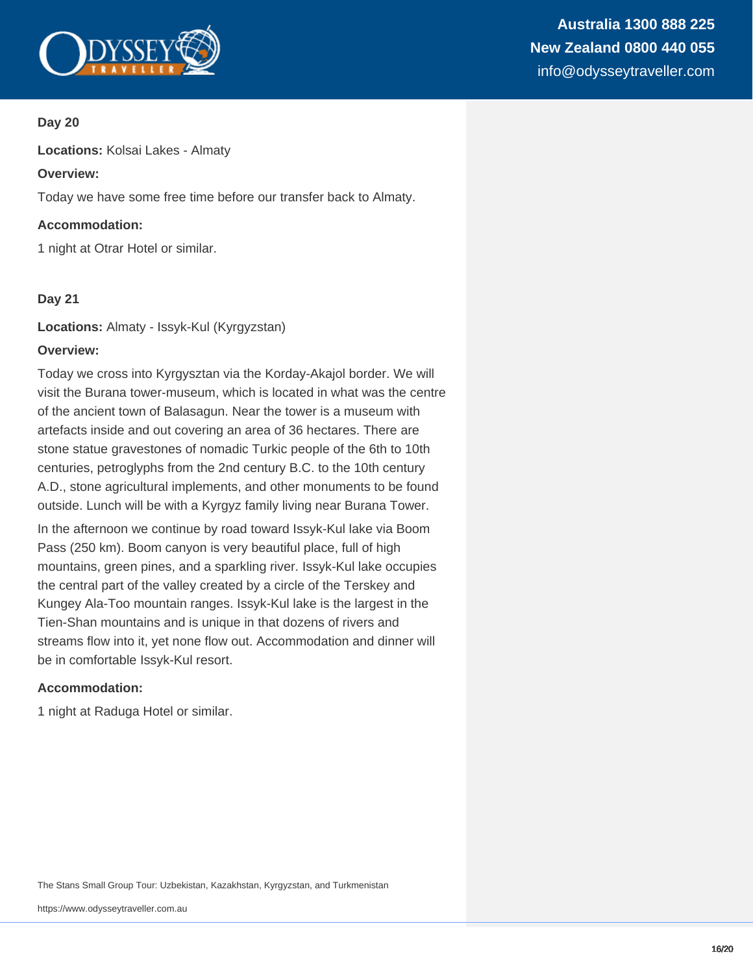

**Locations:** Kolsai Lakes - Almaty

## **Overview:**

Today we have some free time before our transfer back to Almaty.

## **Accommodation:**

1 night at Otrar Hotel or similar.

## **Day 21**

**Locations:** Almaty - Issyk-Kul (Kyrgyzstan)

## **Overview:**

Today we cross into Kyrgysztan via the Korday-Akajol border. We will visit the Burana tower-museum, which is located in what was the centre of the ancient town of Balasagun. Near the tower is a museum with artefacts inside and out covering an area of 36 hectares. There are stone statue gravestones of nomadic Turkic people of the 6th to 10th centuries, petroglyphs from the 2nd century B.C. to the 10th century A.D., stone agricultural implements, and other monuments to be found outside. Lunch will be with a Kyrgyz family living near Burana Tower.

In the afternoon we continue by road toward Issyk-Kul lake via Boom Pass (250 km). Boom canyon is very beautiful place, full of high mountains, green pines, and a sparkling river. Issyk-Kul lake occupies the central part of the valley created by a circle of the Terskey and Kungey Ala-Too mountain ranges. Issyk-Kul lake is the largest in the Tien-Shan mountains and is unique in that dozens of rivers and streams flow into it, yet none flow out. Accommodation and dinner will be in comfortable Issyk-Kul resort.

## **Accommodation:**

1 night at Raduga Hotel or similar.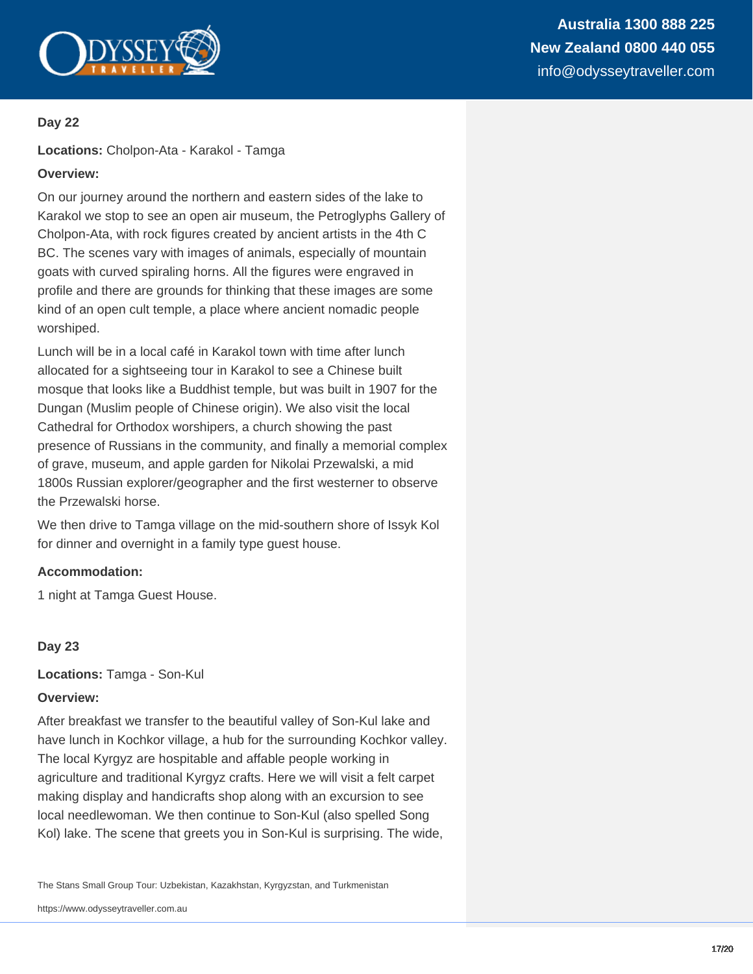

**Locations:** Cholpon-Ata - Karakol - Tamga

## **Overview:**

On our journey around the northern and eastern sides of the lake to Karakol we stop to see an open air museum, the Petroglyphs Gallery of Cholpon-Ata, with rock figures created by ancient artists in the 4th C BC. The scenes vary with images of animals, especially of mountain goats with curved spiraling horns. All the figures were engraved in profile and there are grounds for thinking that these images are some kind of an open cult temple, a place where ancient nomadic people worshiped.

Lunch will be in a local café in Karakol town with time after lunch allocated for a sightseeing tour in Karakol to see a Chinese built mosque that looks like a Buddhist temple, but was built in 1907 for the Dungan (Muslim people of Chinese origin). We also visit the local Cathedral for Orthodox worshipers, a church showing the past presence of Russians in the community, and finally a memorial complex of grave, museum, and apple garden for Nikolai Przewalski, a mid 1800s Russian explorer/geographer and the first westerner to observe the Przewalski horse.

We then drive to Tamga village on the mid-southern shore of Issyk Kol for dinner and overnight in a family type guest house.

## **Accommodation:**

1 night at Tamga Guest House.

## **Day 23**

**Locations:** Tamga - Son-Kul

## **Overview:**

After breakfast we transfer to the beautiful valley of Son-Kul lake and have lunch in Kochkor village, a hub for the surrounding Kochkor valley. The local Kyrgyz are hospitable and affable people working in agriculture and traditional Kyrgyz crafts. Here we will visit a felt carpet making display and handicrafts shop along with an excursion to see local needlewoman. We then continue to Son-Kul (also spelled Song Kol) lake. The scene that greets you in Son-Kul is surprising. The wide,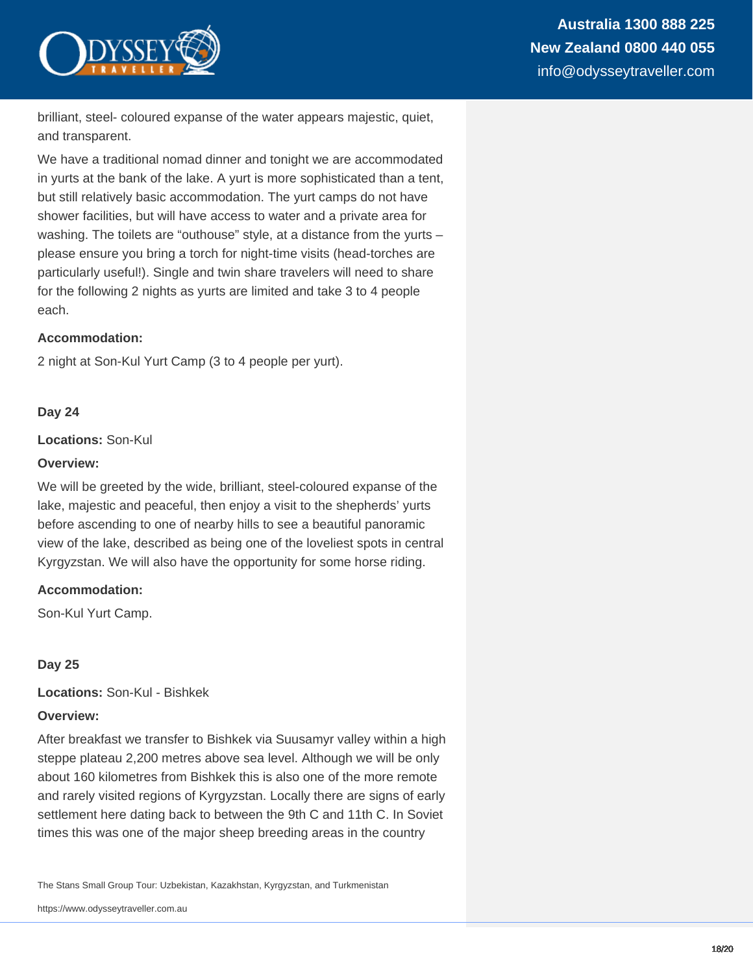

brilliant, steel- coloured expanse of the water appears majestic, quiet, and transparent.

We have a traditional nomad dinner and tonight we are accommodated in yurts at the bank of the lake. A yurt is more sophisticated than a tent, but still relatively basic accommodation. The yurt camps do not have shower facilities, but will have access to water and a private area for washing. The toilets are "outhouse" style, at a distance from the yurts please ensure you bring a torch for night-time visits (head-torches are particularly useful!). Single and twin share travelers will need to share for the following 2 nights as yurts are limited and take 3 to 4 people each.

## **Accommodation:**

2 night at Son-Kul Yurt Camp (3 to 4 people per yurt).

#### **Day 24**

**Locations:** Son-Kul

#### **Overview:**

We will be greeted by the wide, brilliant, steel-coloured expanse of the lake, majestic and peaceful, then enjoy a visit to the shepherds' yurts before ascending to one of nearby hills to see a beautiful panoramic view of the lake, described as being one of the loveliest spots in central Kyrgyzstan. We will also have the opportunity for some horse riding.

#### **Accommodation:**

Son-Kul Yurt Camp.

#### **Day 25**

**Locations:** Son-Kul - Bishkek

#### **Overview:**

After breakfast we transfer to Bishkek via Suusamyr valley within a high steppe plateau 2,200 metres above sea level. Although we will be only about 160 kilometres from Bishkek this is also one of the more remote and rarely visited regions of Kyrgyzstan. Locally there are signs of early settlement here dating back to between the 9th C and 11th C. In Soviet times this was one of the major sheep breeding areas in the country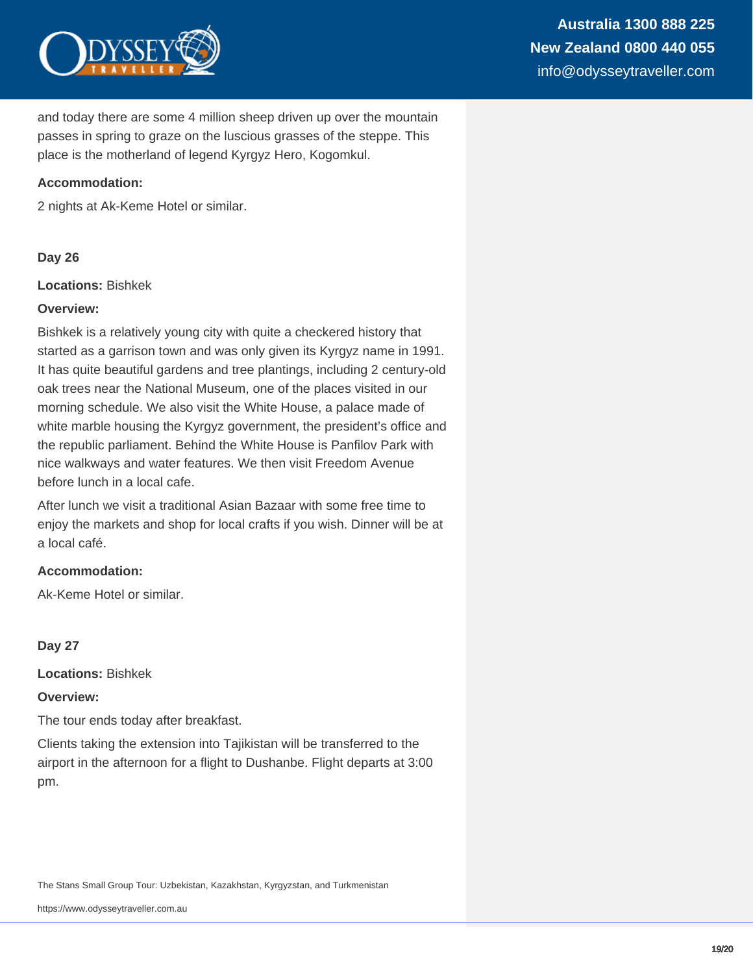

and today there are some 4 million sheep driven up over the mountain passes in spring to graze on the luscious grasses of the steppe. This place is the motherland of legend Kyrgyz Hero, Kogomkul.

## **Accommodation:**

2 nights at Ak-Keme Hotel or similar.

## **Day 26**

**Locations:** Bishkek

#### **Overview:**

Bishkek is a relatively young city with quite a checkered history that started as a garrison town and was only given its Kyrgyz name in 1991. It has quite beautiful gardens and tree plantings, including 2 century-old oak trees near the National Museum, one of the places visited in our morning schedule. We also visit the White House, a palace made of white marble housing the Kyrgyz government, the president's office and the republic parliament. Behind the White House is Panfilov Park with nice walkways and water features. We then visit Freedom Avenue before lunch in a local cafe.

After lunch we visit a traditional Asian Bazaar with some free time to enjoy the markets and shop for local crafts if you wish. Dinner will be at a local café.

#### **Accommodation:**

Ak-Keme Hotel or similar.

#### **Day 27**

**Locations:** Bishkek

## **Overview:**

The tour ends today after breakfast.

Clients taking the extension into Tajikistan will be transferred to the airport in the afternoon for a flight to Dushanbe. Flight departs at 3:00 pm.